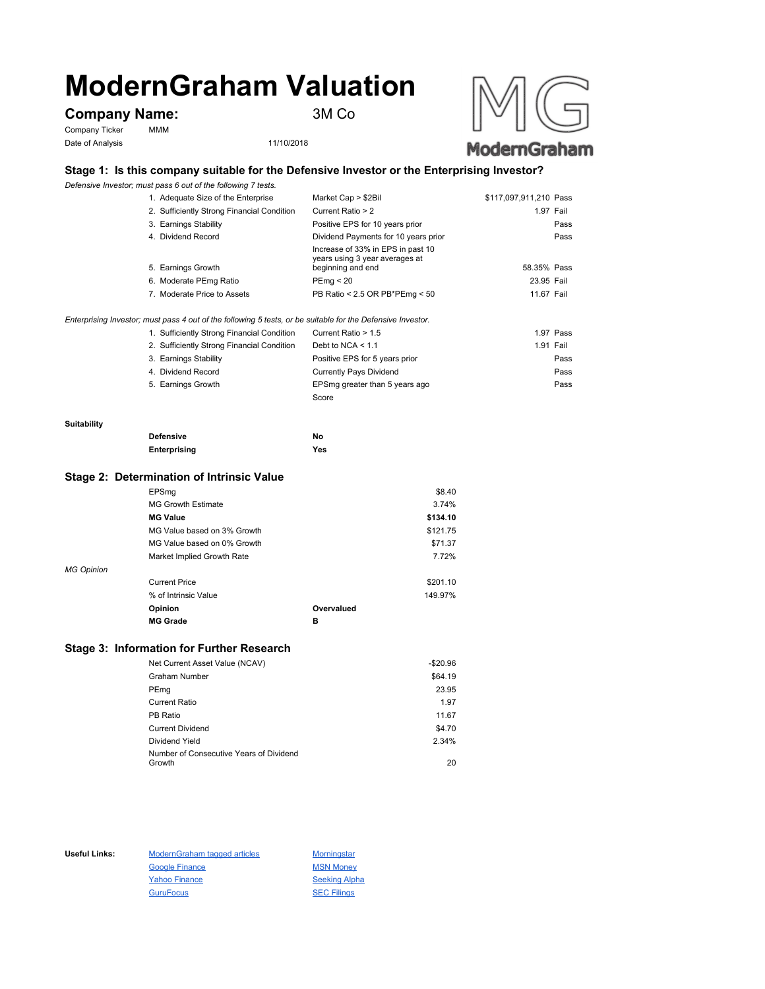# **ModernGraham Valuation**

# **Company Name:** 3M Co

Company Ticker MMM Date of Analysis 11/10/2018



## **Stage 1: Is this company suitable for the Defensive Investor or the Enterprising Investor?**

*Defensive Investor; must pass 6 out of the following 7 tests.*

| 1. Adequate Size of the Enterprise         | Market Cap > \$2Bil                                                 | \$117,097,911,210 Pass |
|--------------------------------------------|---------------------------------------------------------------------|------------------------|
| 2. Sufficiently Strong Financial Condition | Current Ratio > 2                                                   | 1.97 Fail              |
| 3. Earnings Stability                      | Positive EPS for 10 years prior                                     | Pass                   |
| 4. Dividend Record                         | Dividend Payments for 10 years prior                                | Pass                   |
|                                            | Increase of 33% in EPS in past 10<br>years using 3 year averages at |                        |
| 5. Earnings Growth                         | beginning and end                                                   | 58.35% Pass            |
| 6. Moderate PEmg Ratio                     | PEmg < 20                                                           | 23.95 Fail             |
| 7. Moderate Price to Assets                | PB Ratio < 2.5 OR PB*PEmg < 50                                      | 11.67 Fail             |
|                                            |                                                                     |                        |

*Enterprising Investor; must pass 4 out of the following 5 tests, or be suitable for the Defensive Investor.*

| 1. Sufficiently Strong Financial Condition | Current Ratio > 1.5            | 1.97 Pass |
|--------------------------------------------|--------------------------------|-----------|
| 2. Sufficiently Strong Financial Condition | Debt to NCA $<$ 1.1            | 1.91 Fail |
| 3. Earnings Stability                      | Positive EPS for 5 years prior | Pass      |
| 4. Dividend Record                         | Currently Pays Dividend        | Pass      |
| 5. Earnings Growth                         | EPSmg greater than 5 years ago | Pass      |
|                                            | Score                          |           |

#### **Suitability**

| <b>Defensive</b> | No  |
|------------------|-----|
| Enterprising     | Yes |

#### **Stage 2: Determination of Intrinsic Value**

|                   | EPSmg                       |            | \$8.40   |
|-------------------|-----------------------------|------------|----------|
|                   | <b>MG Growth Estimate</b>   |            | 3.74%    |
|                   | <b>MG Value</b>             |            | \$134.10 |
|                   | MG Value based on 3% Growth |            | \$121.75 |
|                   | MG Value based on 0% Growth |            | \$71.37  |
|                   | Market Implied Growth Rate  |            | 7.72%    |
| <b>MG Opinion</b> |                             |            |          |
|                   | <b>Current Price</b>        |            | \$201.10 |
|                   | % of Intrinsic Value        |            | 149.97%  |
|                   | Opinion                     | Overvalued |          |
|                   | <b>MG Grade</b>             | в          |          |
|                   |                             |            |          |

## **Stage 3: Information for Further Research**

| Net Current Asset Value (NCAV)          | $-$20.96$ |
|-----------------------------------------|-----------|
| Graham Number                           | \$64.19   |
| PEmg                                    | 23.95     |
| Current Ratio                           | 1.97      |
| PB Ratio                                | 11.67     |
| <b>Current Dividend</b>                 | \$4.70    |
| Dividend Yield                          | 2.34%     |
| Number of Consecutive Years of Dividend |           |
| Growth                                  | 20        |

Useful Links: ModernGraham tagged articles Morningstar Google Finance MSN Money Yahoo Finance Seeking Alpha GuruFocus SEC Filings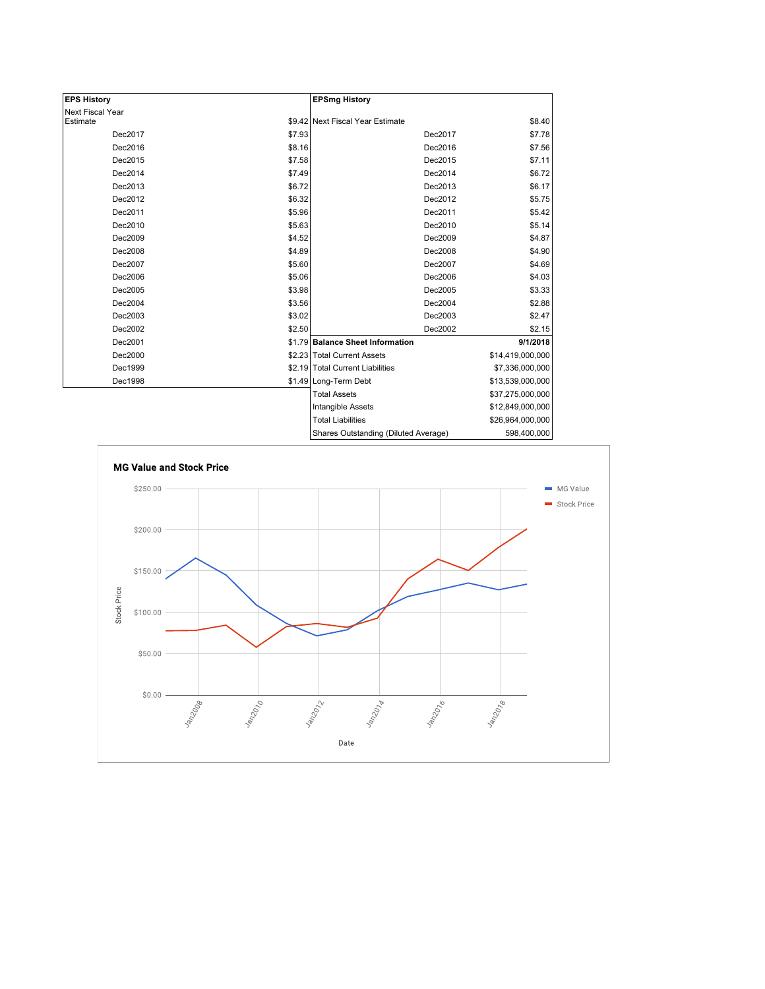| <b>EPS History</b> |        | <b>EPSmg History</b>                 |                  |
|--------------------|--------|--------------------------------------|------------------|
| Next Fiscal Year   |        |                                      |                  |
| Estimate           |        | \$9.42 Next Fiscal Year Estimate     | \$8.40           |
| Dec2017            | \$7.93 | Dec2017                              | \$7.78           |
| Dec2016            | \$8.16 | Dec2016                              | \$7.56           |
| Dec2015            | \$7.58 | Dec2015                              | \$7.11           |
| Dec2014            | \$7.49 | Dec2014                              | \$6.72           |
| Dec2013            | \$6.72 | Dec2013                              | \$6.17           |
| Dec2012            | \$6.32 | Dec2012                              | \$5.75           |
| Dec2011            | \$5.96 | Dec2011                              | \$5.42           |
| Dec2010            | \$5.63 | Dec2010                              | \$5.14           |
| Dec2009            | \$4.52 | Dec2009                              | \$4.87           |
| Dec2008            | \$4.89 | Dec2008                              | \$4.90           |
| Dec2007            | \$5.60 | Dec2007                              | \$4.69           |
| Dec2006            | \$5.06 | Dec2006                              | \$4.03           |
| Dec2005            | \$3.98 | Dec2005                              | \$3.33           |
| Dec2004            | \$3.56 | Dec2004                              | \$2.88           |
| Dec2003            | \$3.02 | Dec2003                              | \$2.47           |
| Dec2002            | \$2.50 | Dec2002                              | \$2.15           |
| Dec2001            |        | \$1.79 Balance Sheet Information     | 9/1/2018         |
| Dec2000            |        | \$2.23 Total Current Assets          | \$14,419,000,000 |
| Dec1999            |        | \$2.19 Total Current Liabilities     | \$7,336,000,000  |
| Dec1998            |        | \$1.49 Long-Term Debt                | \$13,539,000,000 |
|                    |        | <b>Total Assets</b>                  | \$37,275,000,000 |
|                    |        | Intangible Assets                    | \$12,849,000,000 |
|                    |        | <b>Total Liabilities</b>             | \$26,964,000,000 |
|                    |        | Charge Outetanding (Diluted Average) | 508 400 000      |